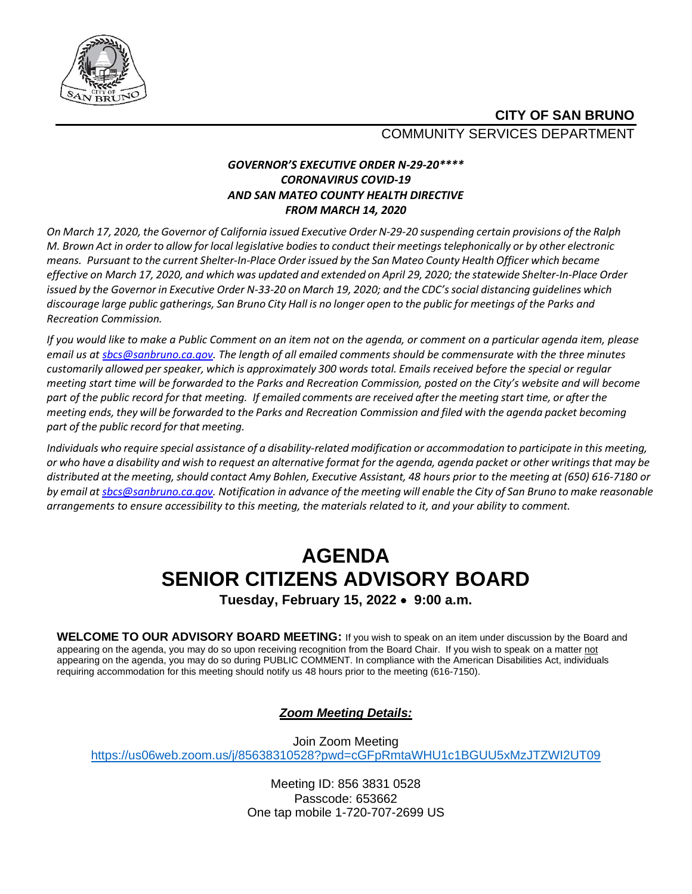

### **CITY OF SAN BRUNO** COMMUNITY SERVICES DEPARTMENT

#### *GOVERNOR'S EXECUTIVE ORDER N-29-20\*\*\*\* CORONAVIRUS COVID-19 AND SAN MATEO COUNTY HEALTH DIRECTIVE FROM MARCH 14, 2020*

On March 17, 2020, the Governor of California issued Executive Order N-29-20 suspending certain provisions of the Ralph M. Brown Act in order to allow for local legislative bodies to conduct their meetings telephonically or by other electronic *means. Pursuant to the current Shelter-In-Place Order issued by the San Mateo County Health Officer which became* effective on March 17, 2020, and which was updated and extended on April 29, 2020; the statewide Shelter-In-Place Order issued by the Governor in Executive Order N-33-20 on March 19, 2020; and the CDC's social distancing guidelines which discourage large public gatherings, San Bruno City Hall is no longer open to the public for meetings of the Parks and *Recreation Commission.*

*If you would like to make a Public Comment on an item not on the agenda, or comment on a particular agenda item, please email us a[t sbcs@sanbruno.ca.gov.](mailto:sbcs@sanbruno.ca.gov) The length of all emailed comments should be commensurate with the three minutes customarily allowed perspeaker, which is approximately 300 words total. Emails received before the special or regular meeting start time will be forwarded to the Parks and Recreation Commission, posted on the City's website and will become part of the public record for that meeting. If emailed comments are received after the meeting start time, or after the meeting ends, they will be forwarded to the Parks and Recreation Commission and filed with the agenda packet becoming part of the public record for that meeting.* 

Individuals who require special assistance of a disability-related modification or accommodation to participate in this meeting, or who have a disability and wish to request an alternative format for the agenda, agenda packet or other writings that may be *distributed at the meeting,should contact Amy Bohlen, Executive Assistant, 48 hours prior to the meeting at (650) 616-7180 or* by email a[t sbcs@sanbruno.ca.gov.](mailto:sbcs@sanbruno.ca.gov) Notification in advance of the meeting will enable the City of San Bruno to make reasonable *arrangements to ensure accessibility to this meeting, the materials related to it, and your ability to comment.* 

# **AGENDA SENIOR CITIZENS ADVISORY BOARD**

**Tuesday, February 15, 2022** • **9:00 a.m.**

**WELCOME TO OUR ADVISORY BOARD MEETING:** If you wish to speak on an item under discussion by the Board and appearing on the agenda, you may do so upon receiving recognition from the Board Chair. If you wish to speak on a matter not appearing on the agenda, you may do so during PUBLIC COMMENT. In compliance with the American Disabilities Act, individuals requiring accommodation for this meeting should notify us 48 hours prior to the meeting (616-7150).

### *Zoom Meeting Details:*

Join Zoom Meeting <https://us06web.zoom.us/j/85638310528?pwd=cGFpRmtaWHU1c1BGUU5xMzJTZWI2UT09>

> Meeting ID: 856 3831 0528 Passcode: 653662 One tap mobile 1-720-707-2699 US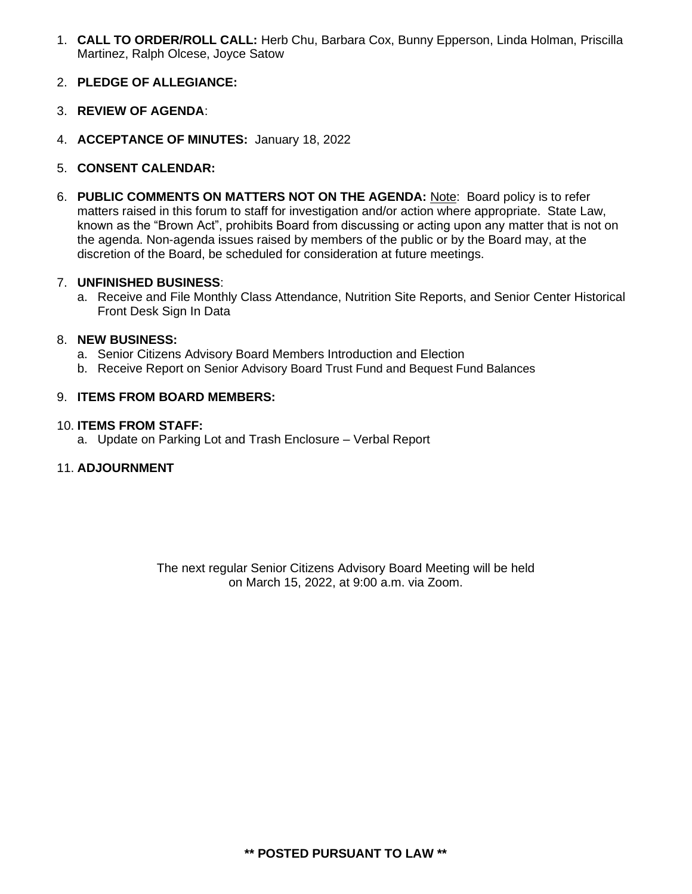1. **CALL TO ORDER/ROLL CALL:** Herb Chu, Barbara Cox, Bunny Epperson, Linda Holman, Priscilla Martinez, Ralph Olcese, Joyce Satow

#### 2. **PLEDGE OF ALLEGIANCE:**

- 3. **REVIEW OF AGENDA**:
- 4. **ACCEPTANCE OF MINUTES:** January 18, 2022
- 5. **CONSENT CALENDAR:**
- 6. **PUBLIC COMMENTS ON MATTERS NOT ON THE AGENDA:** Note: Board policy is to refer matters raised in this forum to staff for investigation and/or action where appropriate. State Law, known as the "Brown Act", prohibits Board from discussing or acting upon any matter that is not on the agenda. Non-agenda issues raised by members of the public or by the Board may, at the discretion of the Board, be scheduled for consideration at future meetings.

#### 7. **UNFINISHED BUSINESS**:

a. Receive and File Monthly Class Attendance, Nutrition Site Reports, and Senior Center Historical Front Desk Sign In Data

#### 8. **NEW BUSINESS:**

- a. Senior Citizens Advisory Board Members Introduction and Election
- b. Receive Report on Senior Advisory Board Trust Fund and Bequest Fund Balances

#### 9. **ITEMS FROM BOARD MEMBERS:**

#### 10. **ITEMS FROM STAFF:**

a. Update on Parking Lot and Trash Enclosure – Verbal Report

#### 11. **ADJOURNMENT**

The next regular Senior Citizens Advisory Board Meeting will be held on March 15, 2022, at 9:00 a.m. via Zoom.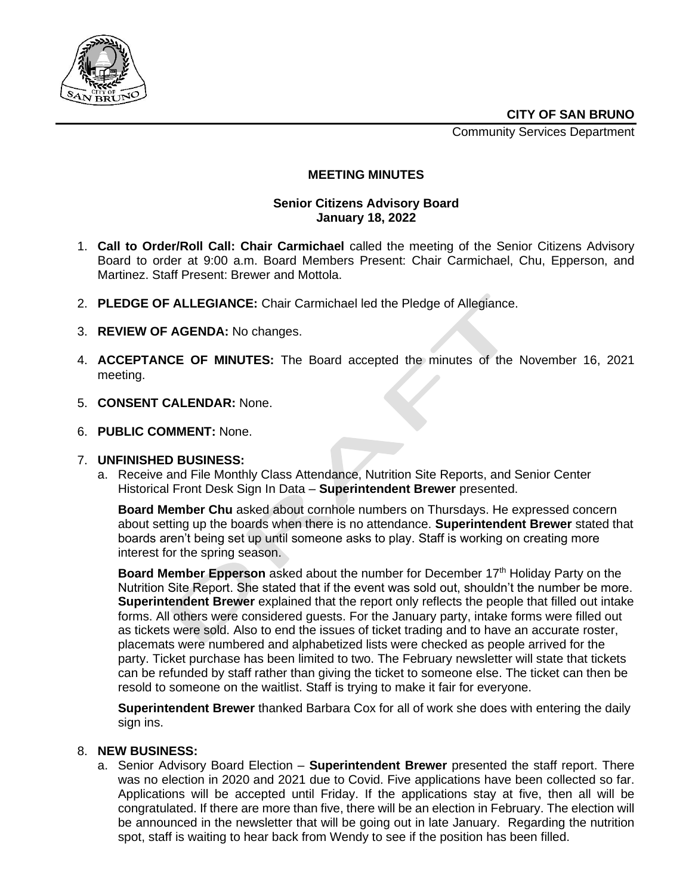Community Services Department



#### **MEETING MINUTES**

#### **Senior Citizens Advisory Board January 18, 2022**

- 1. **Call to Order/Roll Call: Chair Carmichael** called the meeting of the Senior Citizens Advisory Board to order at 9:00 a.m. Board Members Present: Chair Carmichael, Chu, Epperson, and Martinez. Staff Present: Brewer and Mottola.
- 2. **PLEDGE OF ALLEGIANCE:** Chair Carmichael led the Pledge of Allegiance.
- 3. **REVIEW OF AGENDA:** No changes.
- 4. **ACCEPTANCE OF MINUTES:** The Board accepted the minutes of the November 16, 2021 meeting.
- 5. **CONSENT CALENDAR:** None.
- 6. **PUBLIC COMMENT:** None.

#### 7. **UNFINISHED BUSINESS:**

a. Receive and File Monthly Class Attendance, Nutrition Site Reports, and Senior Center Historical Front Desk Sign In Data – **Superintendent Brewer** presented.

**Board Member Chu** asked about cornhole numbers on Thursdays. He expressed concern about setting up the boards when there is no attendance. **Superintendent Brewer** stated that boards aren't being set up until someone asks to play. Staff is working on creating more interest for the spring season.

**Board Member Epperson** asked about the number for December 17<sup>th</sup> Holiday Party on the Nutrition Site Report. She stated that if the event was sold out, shouldn't the number be more. **Superintendent Brewer** explained that the report only reflects the people that filled out intake forms. All others were considered guests. For the January party, intake forms were filled out as tickets were sold. Also to end the issues of ticket trading and to have an accurate roster, placemats were numbered and alphabetized lists were checked as people arrived for the party. Ticket purchase has been limited to two. The February newsletter will state that tickets can be refunded by staff rather than giving the ticket to someone else. The ticket can then be resold to someone on the waitlist. Staff is trying to make it fair for everyone.

**Superintendent Brewer** thanked Barbara Cox for all of work she does with entering the daily sign ins.

#### 8. **NEW BUSINESS:**

a. Senior Advisory Board Election – **Superintendent Brewer** presented the staff report. There was no election in 2020 and 2021 due to Covid. Five applications have been collected so far. Applications will be accepted until Friday. If the applications stay at five, then all will be congratulated. If there are more than five, there will be an election in February. The election will be announced in the newsletter that will be going out in late January. Regarding the nutrition spot, staff is waiting to hear back from Wendy to see if the position has been filled.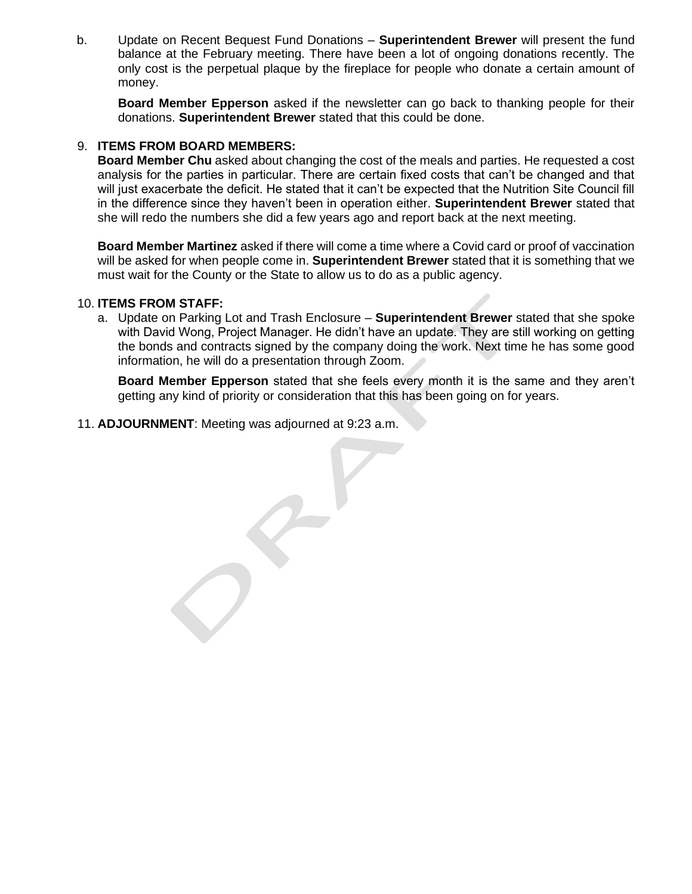b. Update on Recent Bequest Fund Donations – **Superintendent Brewer** will present the fund balance at the February meeting. There have been a lot of ongoing donations recently. The only cost is the perpetual plaque by the fireplace for people who donate a certain amount of money.

**Board Member Epperson** asked if the newsletter can go back to thanking people for their donations. **Superintendent Brewer** stated that this could be done.

#### 9. **ITEMS FROM BOARD MEMBERS:**

**Board Member Chu** asked about changing the cost of the meals and parties. He requested a cost analysis for the parties in particular. There are certain fixed costs that can't be changed and that will just exacerbate the deficit. He stated that it can't be expected that the Nutrition Site Council fill in the difference since they haven't been in operation either. **Superintendent Brewer** stated that she will redo the numbers she did a few years ago and report back at the next meeting.

**Board Member Martinez** asked if there will come a time where a Covid card or proof of vaccination will be asked for when people come in. **Superintendent Brewer** stated that it is something that we must wait for the County or the State to allow us to do as a public agency.

#### 10. **ITEMS FROM STAFF:**

a. Update on Parking Lot and Trash Enclosure – **Superintendent Brewer** stated that she spoke with David Wong, Project Manager. He didn't have an update. They are still working on getting the bonds and contracts signed by the company doing the work. Next time he has some good information, he will do a presentation through Zoom.

**Board Member Epperson** stated that she feels every month it is the same and they aren't getting any kind of priority or consideration that this has been going on for years.

11. **ADJOURNMENT**: Meeting was adjourned at 9:23 a.m.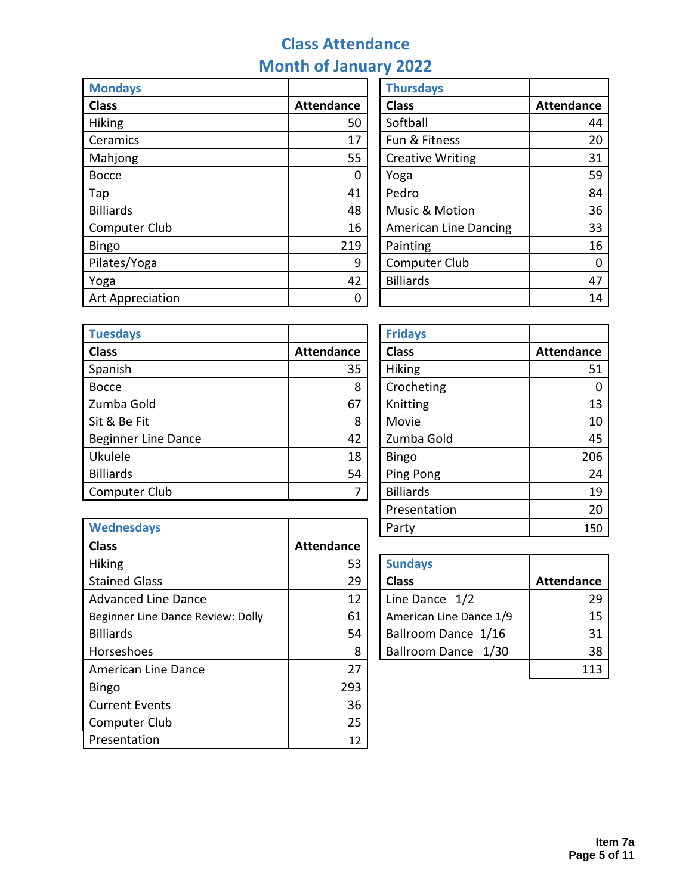## **Class Attendance Month of January 2022**

| <b>Mondays</b>   |                   | <b>Thursdays</b>             |                   |
|------------------|-------------------|------------------------------|-------------------|
| <b>Class</b>     | <b>Attendance</b> | <b>Class</b>                 | <b>Attendance</b> |
| <b>Hiking</b>    | 50                | Softball                     | 44                |
| Ceramics         | 17                | Fun & Fitness                | 20                |
| Mahjong          | 55                | <b>Creative Writing</b>      | 31                |
| <b>Bocce</b>     | 0                 | Yoga                         | 59                |
| Tap              | 41                | Pedro                        | 84                |
| <b>Billiards</b> | 48                | Music & Motion               | 36                |
| Computer Club    | 16                | <b>American Line Dancing</b> | 33                |
| <b>Bingo</b>     | 219               | Painting                     | 16                |
| Pilates/Yoga     | 9                 | Computer Club                | $\mathbf 0$       |
| Yoga             | 42                | <b>Billiards</b>             | 47                |
| Art Appreciation | 0                 |                              | 14                |

| <b>Thursdays</b>             |                   |
|------------------------------|-------------------|
| <b>Class</b>                 | <b>Attendance</b> |
| Softball                     | 44                |
| Fun & Fitness                | 20                |
| <b>Creative Writing</b>      | 31                |
| Yoga                         | 59                |
| Pedro                        | 84                |
| <b>Music &amp; Motion</b>    | 36                |
| <b>American Line Dancing</b> | 33                |
| Painting                     | 16                |
| <b>Computer Club</b>         |                   |
| <b>Billiards</b>             | 47                |
|                              |                   |

| <b>Tuesdays</b>            |                   | <b>Fridays</b>   |                   |
|----------------------------|-------------------|------------------|-------------------|
| <b>Class</b>               | <b>Attendance</b> | <b>Class</b>     | <b>Attendance</b> |
| Spanish                    | 35                | <b>Hiking</b>    | 51                |
| <b>Bocce</b>               | 8                 | Crocheting       | 0                 |
| Zumba Gold                 | 67                | Knitting         | 13                |
| Sit & Be Fit               | 8                 | Movie            | 10                |
| <b>Beginner Line Dance</b> | 42                | Zumba Gold       | 45                |
| Ukulele                    | 18                | <b>Bingo</b>     | 206               |
| <b>Billiards</b>           | 54                | Ping Pong        | 24                |
| Computer Club              | ┑                 | <b>Billiards</b> | 19                |

| <b>Fridays</b>   |                   |
|------------------|-------------------|
| <b>Class</b>     | <b>Attendance</b> |
| Hiking           | 51                |
| Crocheting       |                   |
| Knitting         | 13                |
| Movie            | 10                |
| Zumba Gold       | 45                |
| <b>Bingo</b>     | 206               |
| Ping Pong        | 24                |
| <b>Billiards</b> | 19                |
| Presentation     | 20                |
| Party            | 150               |

| <b>Wednesdays</b>                 |                   | Party                   | 150               |
|-----------------------------------|-------------------|-------------------------|-------------------|
| <b>Class</b>                      | <b>Attendance</b> |                         |                   |
| <b>Hiking</b>                     | 53                | <b>Sundays</b>          |                   |
| <b>Stained Glass</b>              | 29                | <b>Class</b>            | <b>Attendance</b> |
| <b>Advanced Line Dance</b>        | 12                | Line Dance $1/2$        | 29                |
| Beginner Line Dance Review: Dolly | 61                | American Line Dance 1/9 | 15                |
| <b>Billiards</b>                  | 54                | Ballroom Dance 1/16     | 31                |
| Horseshoes                        | 8                 | Ballroom Dance 1/30     | 38                |
| <b>American Line Dance</b>        | 27                |                         | 113               |
| <b>Bingo</b>                      | 293               |                         |                   |
| <b>Current Events</b>             | 36                |                         |                   |
| Computer Club                     | 25                |                         |                   |
| Presentation                      | 12                |                         |                   |

| <b>Sundays</b>          |                   |
|-------------------------|-------------------|
| <b>Class</b>            | <b>Attendance</b> |
| Line Dance 1/2          | 29                |
| American Line Dance 1/9 | 15                |
| Ballroom Dance 1/16     | 31                |
| Ballroom Dance 1/30     | 38                |
|                         |                   |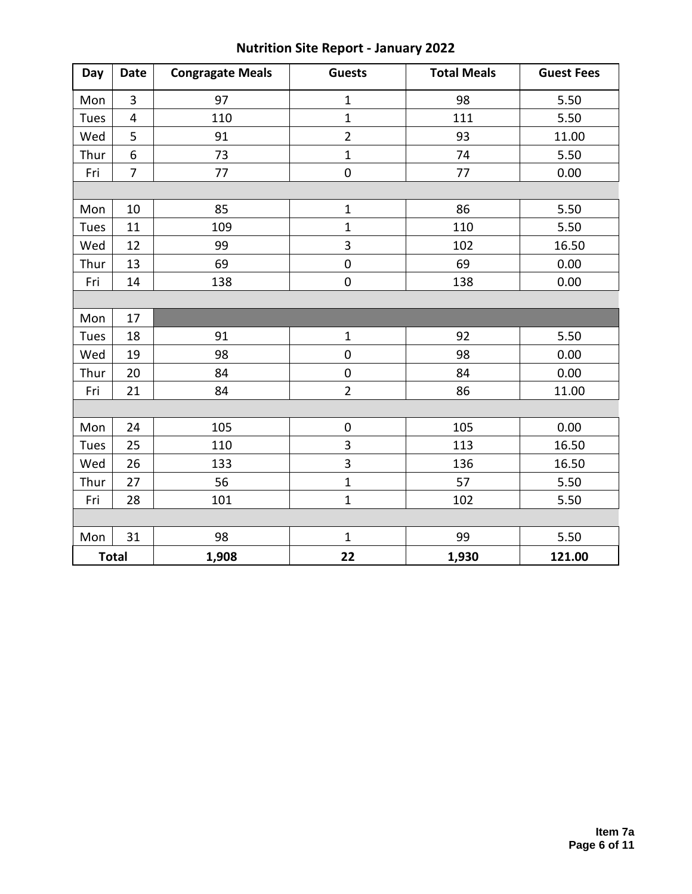| Day  | <b>Date</b>      | <b>Congragate Meals</b> | <b>Guests</b>  | <b>Total Meals</b> | <b>Guest Fees</b> |
|------|------------------|-------------------------|----------------|--------------------|-------------------|
| Mon  | 3                | 97                      | $\mathbf 1$    | 98                 | 5.50              |
| Tues | 4                | 110                     | $\overline{1}$ | 111                | 5.50              |
| Wed  | 5                | 91                      | $\overline{2}$ | 93                 | 11.00             |
| Thur | $\boldsymbol{6}$ | 73                      | $\mathbf 1$    | 74                 | 5.50              |
| Fri  | $\overline{7}$   | 77                      | $\mathbf 0$    | 77                 | 0.00              |
|      |                  |                         |                |                    |                   |
| Mon  | 10               | 85                      | $\mathbf 1$    | 86                 | 5.50              |
| Tues | 11               | 109                     | $\mathbf{1}$   | 110                | 5.50              |
| Wed  | 12               | 99                      | 3              | 102                | 16.50             |
| Thur | 13               | 69                      | $\mathbf 0$    | 69                 | 0.00              |
| Fri  | 14               | 138                     | $\pmb{0}$      | 138                | 0.00              |
|      |                  |                         |                |                    |                   |
| Mon  | 17               |                         |                |                    |                   |
| Tues | 18               | 91                      | $\mathbf{1}$   | 92                 | 5.50              |
| Wed  | 19               | 98                      | $\mathbf 0$    | 98                 | 0.00              |
| Thur | 20               | 84                      | $\pmb{0}$      | 84                 | 0.00              |
| Fri  | 21               | 84                      | $\overline{2}$ | 86                 | 11.00             |
|      |                  |                         |                |                    |                   |
| Mon  | 24               | 105                     | $\pmb{0}$      | 105                | 0.00              |
| Tues | 25               | 110                     | 3              | 113                | 16.50             |
| Wed  | 26               | 133                     | 3              | 136                | 16.50             |
| Thur | 27               | 56                      | $\mathbf 1$    | 57                 | 5.50              |
| Fri  | 28               | 101                     | $\mathbf 1$    | 102                | 5.50              |
|      |                  |                         |                |                    |                   |
| Mon  | 31               | 98                      | $\mathbf{1}$   | 99                 | 5.50              |
|      | <b>Total</b>     | 1,908                   | 22             | 1,930              | 121.00            |

## **Nutrition Site Report - January 2022**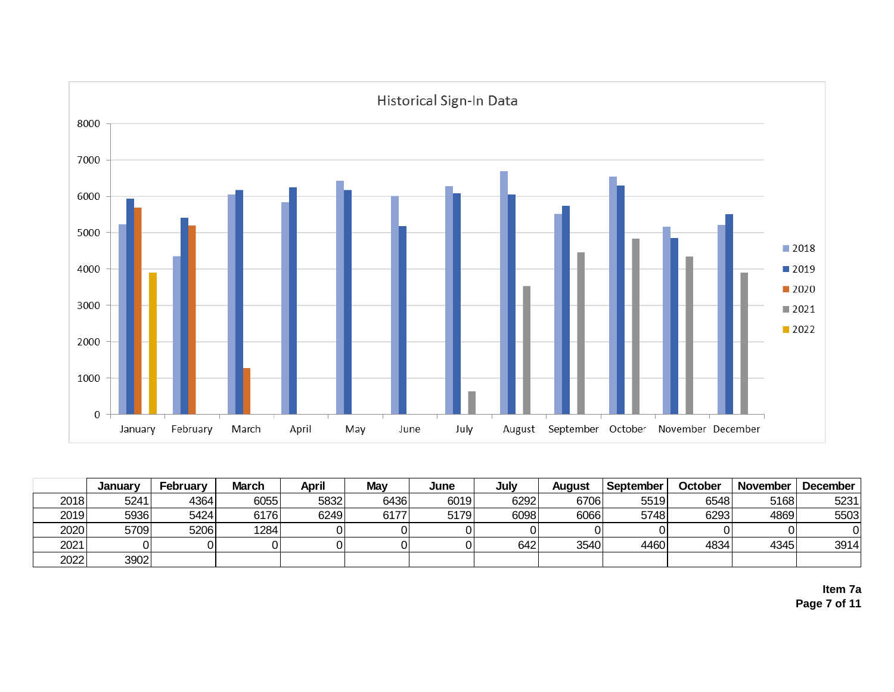

|      | January | February | <b>March</b> | <b>April</b> | <b>May</b> | June | July | August | September | October | November | December |
|------|---------|----------|--------------|--------------|------------|------|------|--------|-----------|---------|----------|----------|
| 2018 | 5241    | 4364     | 6055         | 5832         | 6436       | 6019 | 6292 | 6706   | 5519      | 6548    | 5168     | 5231     |
| 2019 | 5936    | 5424     | 6176         | 6249         | 6177       | 5179 | 6098 | 6066   | 5748      | 6293    | 4869     | 5503     |
| 2020 | 5709    | 5206     | 1284         |              |            |      |      |        |           |         |          |          |
| 2021 |         |          |              |              |            |      | 642  | 3540   | 4460      | 4834    | 4345     | 3914     |
| 2022 | 3902    |          |              |              |            |      |      |        |           |         |          |          |

**Item 7a Page 7 of 11**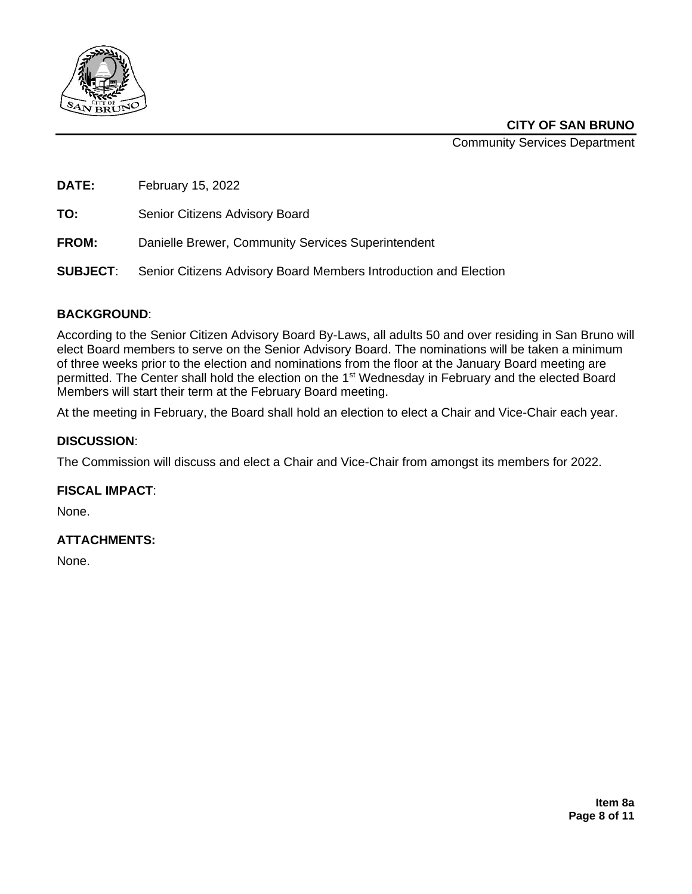

**CITY OF SAN BRUNO**

Community Services Department

**DATE:** February 15, 2022

**TO:** Senior Citizens Advisory Board

**FROM:** Danielle Brewer, Community Services Superintendent

**SUBJECT**: Senior Citizens Advisory Board Members Introduction and Election

#### **BACKGROUND**:

According to the Senior Citizen Advisory Board By-Laws, all adults 50 and over residing in San Bruno will elect Board members to serve on the Senior Advisory Board. The nominations will be taken a minimum of three weeks prior to the election and nominations from the floor at the January Board meeting are permitted. The Center shall hold the election on the 1<sup>st</sup> Wednesday in February and the elected Board Members will start their term at the February Board meeting.

At the meeting in February, the Board shall hold an election to elect a Chair and Vice-Chair each year.

#### **DISCUSSION**:

The Commission will discuss and elect a Chair and Vice-Chair from amongst its members for 2022.

#### **FISCAL IMPACT**:

None.

#### **ATTACHMENTS:**

None.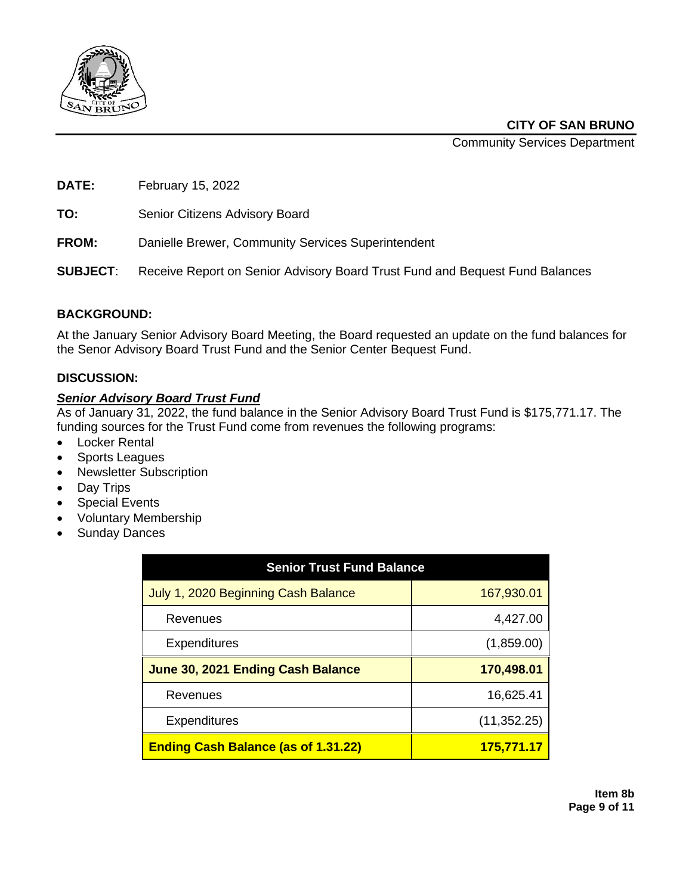

**CITY OF SAN BRUNO**

Community Services Department

**DATE:** February 15, 2022

**TO:** Senior Citizens Advisory Board

**FROM:** Danielle Brewer, Community Services Superintendent

**SUBJECT**: Receive Report on Senior Advisory Board Trust Fund and Bequest Fund Balances

#### **BACKGROUND:**

At the January Senior Advisory Board Meeting, the Board requested an update on the fund balances for the Senor Advisory Board Trust Fund and the Senior Center Bequest Fund.

#### **DISCUSSION:**

#### *Senior Advisory Board Trust Fund*

As of January 31, 2022, the fund balance in the Senior Advisory Board Trust Fund is \$175,771.17. The funding sources for the Trust Fund come from revenues the following programs:

- Locker Rental
- Sports Leagues
- Newsletter Subscription
- Day Trips
- **Special Events**
- Voluntary Membership
- Sunday Dances

| <b>Senior Trust Fund Balance</b>           |                   |
|--------------------------------------------|-------------------|
| July 1, 2020 Beginning Cash Balance        | 167,930.01        |
| Revenues                                   | 4,427.00          |
| Expenditures                               | (1,859.00)        |
| June 30, 2021 Ending Cash Balance          | 170,498.01        |
| Revenues                                   | 16,625.41         |
| Expenditures                               | (11, 352.25)      |
| <b>Ending Cash Balance (as of 1.31.22)</b> | <u>175,771.17</u> |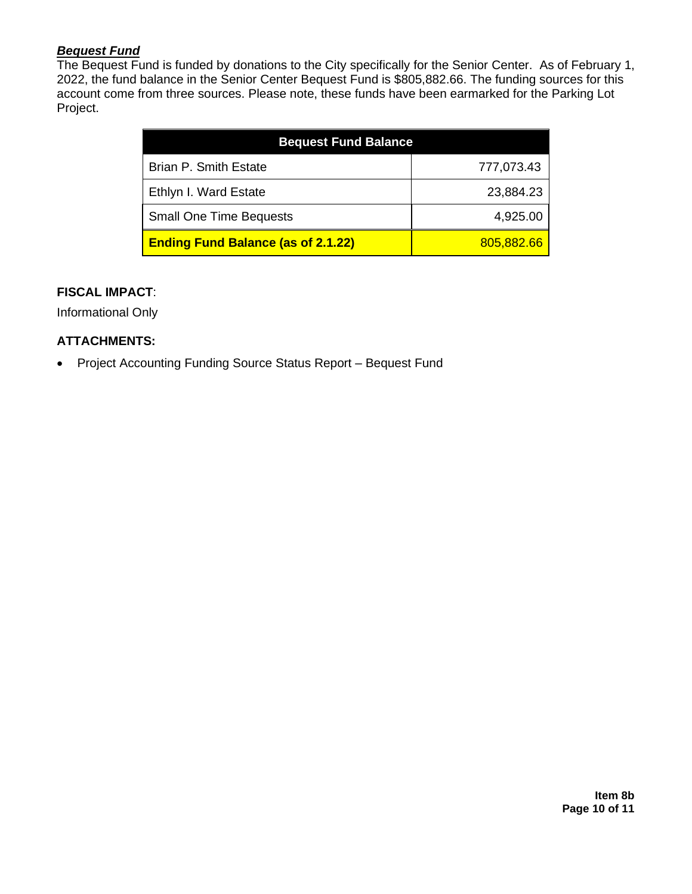#### *Bequest Fund*

The Bequest Fund is funded by donations to the City specifically for the Senior Center. As of February 1, 2022, the fund balance in the Senior Center Bequest Fund is \$805,882.66. The funding sources for this account come from three sources. Please note, these funds have been earmarked for the Parking Lot Project.

| <b>Bequest Fund Balance</b>               |            |
|-------------------------------------------|------------|
| <b>Brian P. Smith Estate</b>              | 777,073.43 |
| Ethlyn I. Ward Estate                     | 23,884.23  |
| <b>Small One Time Bequests</b>            | 4,925.00   |
| <b>Ending Fund Balance (as of 2.1.22)</b> | 805,882.66 |

#### **FISCAL IMPACT**:

Informational Only

#### **ATTACHMENTS:**

• Project Accounting Funding Source Status Report – Bequest Fund